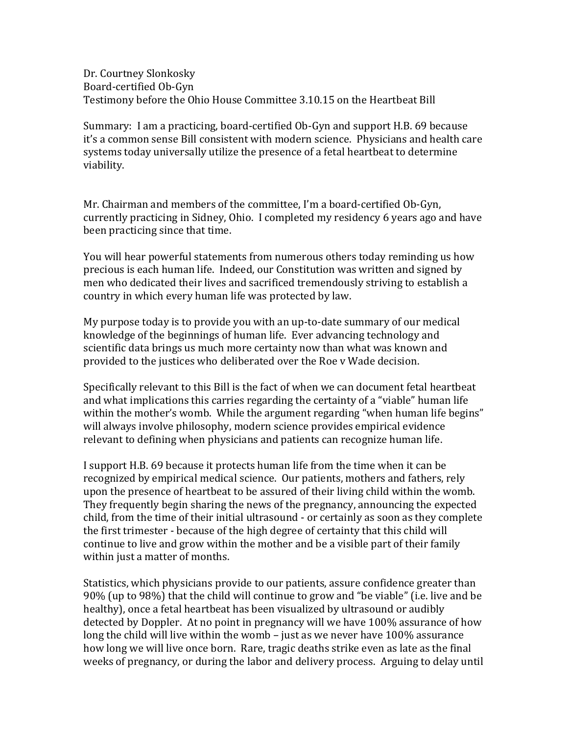Dr. Courtney Slonkosky Board-certified Ob-Gyn Testimony before the Ohio House Committee 3.10.15 on the Heartbeat Bill

Summary: I am a practicing, board-certified Ob-Gyn and support H.B. 69 because it's a common sense Bill consistent with modern science. Physicians and health care systems today universally utilize the presence of a fetal heartbeat to determine viability.

Mr. Chairman and members of the committee, I'm a board-certified Ob-Gyn, currently practicing in Sidney, Ohio. I completed my residency 6 years ago and have been practicing since that time.

You will hear powerful statements from numerous others today reminding us how precious is each human life. Indeed, our Constitution was written and signed by men who dedicated their lives and sacrificed tremendously striving to establish a country in which every human life was protected by law.

My purpose today is to provide you with an up-to-date summary of our medical knowledge of the beginnings of human life. Ever advancing technology and scientific data brings us much more certainty now than what was known and provided to the justices who deliberated over the Roe v Wade decision.

Specifically relevant to this Bill is the fact of when we can document fetal heartbeat and what implications this carries regarding the certainty of a "viable" human life within the mother's womb. While the argument regarding "when human life begins" will always involve philosophy, modern science provides empirical evidence relevant to defining when physicians and patients can recognize human life.

I support H.B. 69 because it protects human life from the time when it can be recognized by empirical medical science. Our patients, mothers and fathers, rely upon the presence of heartbeat to be assured of their living child within the womb. They frequently begin sharing the news of the pregnancy, announcing the expected child, from the time of their initial ultrasound - or certainly as soon as they complete the first trimester - because of the high degree of certainty that this child will continue to live and grow within the mother and be a visible part of their family within just a matter of months.

Statistics, which physicians provide to our patients, assure confidence greater than 90% (up to 98%) that the child will continue to grow and "be viable" (i.e. live and be healthy), once a fetal heartbeat has been visualized by ultrasound or audibly detected by Doppler. At no point in pregnancy will we have 100% assurance of how long the child will live within the womb – just as we never have 100% assurance how long we will live once born. Rare, tragic deaths strike even as late as the final weeks of pregnancy, or during the labor and delivery process. Arguing to delay until